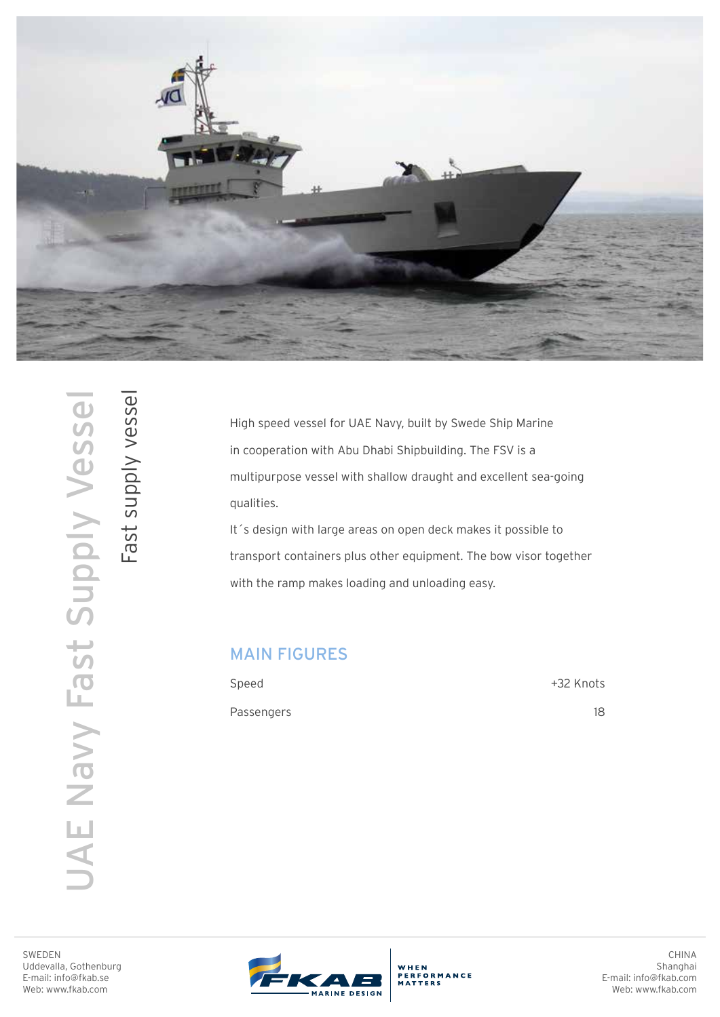

UAE Navy Fast Supply Vessel JAE Navy Fast Supply Vessel Fast supply vessel

Fast supply vessel

High speed vessel for UAE Navy, built by Swede Ship Marine in cooperation with Abu Dhabi Shipbuilding. The FSV is a multipurpose vessel with shallow draught and excellent sea-going qualities.

It´s design with large areas on open deck makes it possible to transport containers plus other equipment. The bow visor together with the ramp makes loading and unloading easy.

## MAIN FIGURES

| Speed      | +32 Knots |
|------------|-----------|
| Passengers | 18        |